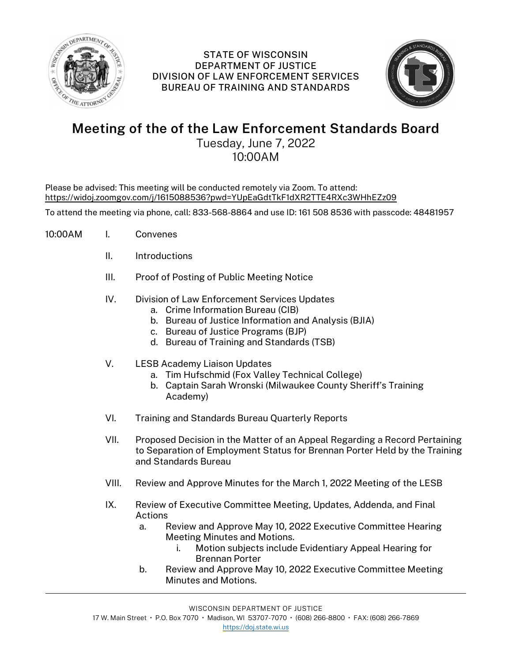

## STATE OF WISCONSIN DEPARTMENT OF JUSTICE DIVISION OF LAW ENFORCEMENT SERVICES BUREAU OF TRAINING AND STANDARDS



## Meeting of the of the Law Enforcement Standards Board

Tuesday, June 7, 2022 10:00AM

Please be advised: This meeting will be conducted remotely via Zoom. To attend: https://widoj.zoomgov.com/j/1615088536?pwd=YUpEaGdtTkF1dXR2TTE4RXc3WHhEZz09

To attend the meeting via phone, call: 833-568-8864 and use ID: 161 508 8536 with passcode: 48481957

- 10:00AM I. Convenes
	- II. Introductions
	- III. Proof of Posting of Public Meeting Notice
	- IV. Division of Law Enforcement Services Updates
		- a. Crime Information Bureau (CIB)
		- b. Bureau of Justice Information and Analysis (BJIA)
		- c. Bureau of Justice Programs (BJP)
		- d. Bureau of Training and Standards (TSB)
	- V. LESB Academy Liaison Updates
		- a. Tim Hufschmid (Fox Valley Technical College)
		- b. Captain Sarah Wronski (Milwaukee County Sheriff's Training Academy)
	- VI. Training and Standards Bureau Quarterly Reports
	- VII. Proposed Decision in the Matter of an Appeal Regarding a Record Pertaining to Separation of Employment Status for Brennan Porter Held by the Training and Standards Bureau
	- VIII. Review and Approve Minutes for the March 1, 2022 Meeting of the LESB
	- IX. Review of Executive Committee Meeting, Updates, Addenda, and Final Actions
		- a. Review and Approve May 10, 2022 Executive Committee Hearing Meeting Minutes and Motions.
			- i. Motion subjects include Evidentiary Appeal Hearing for Brennan Porter
		- b. Review and Approve May 10, 2022 Executive Committee Meeting Minutes and Motions.